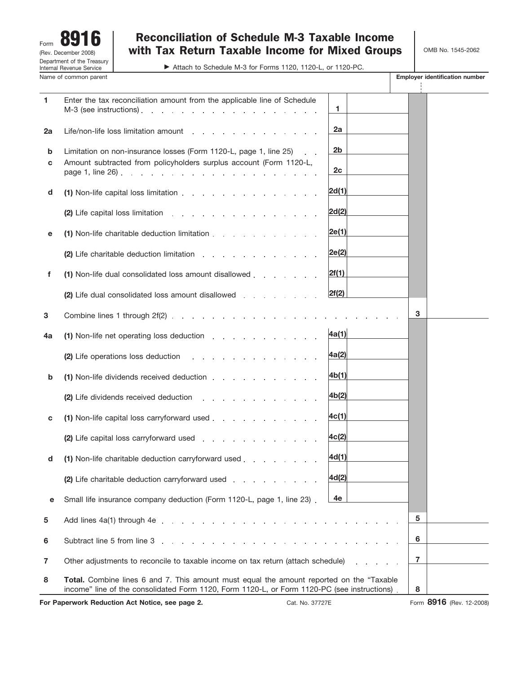Form 8916 Department of the Treasury Internal Revenue Service Name of common parent **Employer identification number Employer identification number** (Rev. December 2008)

# Reconciliation of Schedule M-3 Taxable Income with Tax Return Taxable Income for Mixed Groups

© Attach to Schedule M-3 for Forms 1120, 1120-L, or 1120-PC.

OMB No. 1545-2062

| 1                                                                  | Enter the tax reconciliation amount from the applicable line of Schedule<br>M-3 (see instructions).<br>and the second contract of the second contract of                                                                       | 1                                |   |                          |
|--------------------------------------------------------------------|--------------------------------------------------------------------------------------------------------------------------------------------------------------------------------------------------------------------------------|----------------------------------|---|--------------------------|
| 2a                                                                 | Life/non-life loss limitation amount results and results are a set of the line of the line of the line of the line of the line of the line of the line of the line of the line of the line of the line of the line of the line | 2a                               |   |                          |
| b<br>C                                                             | Limitation on non-insurance losses (Form 1120-L, page 1, line 25)<br>Amount subtracted from policyholders surplus account (Form 1120-L,<br>page 1, line $26$ . $\ldots$ $\ldots$ $\ldots$ $\ldots$ $\ldots$ $\ldots$           | 2 <sub>b</sub><br>2 <sub>c</sub> |   |                          |
| d                                                                  | (1) Non-life capital loss limitation                                                                                                                                                                                           | 2d(1)                            |   |                          |
|                                                                    | (2) Life capital loss limitation                                                                                                                                                                                               | 2d(2)                            |   |                          |
| е                                                                  | (1) Non-life charitable deduction limitation entity and the charitable deduction limitation                                                                                                                                    | 2e(1)                            |   |                          |
|                                                                    | (2) Life charitable deduction limitation                                                                                                                                                                                       | 2e(2)                            |   |                          |
| f                                                                  | (1) Non-life dual consolidated loss amount disallowed                                                                                                                                                                          | 2f(1)                            |   |                          |
|                                                                    | (2) Life dual consolidated loss amount disallowed                                                                                                                                                                              | 2f(2)                            |   |                          |
| 3                                                                  |                                                                                                                                                                                                                                |                                  | 3 |                          |
| 4a                                                                 | (1) Non-life net operating loss deduction                                                                                                                                                                                      | 4a(1)                            |   |                          |
|                                                                    | (2) Life operations loss deduction results and results are a set of the set of the set of the set of the set of the set of the set of the set of the set of the set of the set of the set of the set of the set of the set of  | 4a(2)                            |   |                          |
| b                                                                  | (1) Non-life dividends received deduction                                                                                                                                                                                      | 4b(1)                            |   |                          |
|                                                                    | (2) Life dividends received deduction                                                                                                                                                                                          | $\left  4b(2) \right $           |   |                          |
| c                                                                  | (1) Non-life capital loss carryforward used                                                                                                                                                                                    | 4c(1)                            |   |                          |
|                                                                    | (2) Life capital loss carryforward used                                                                                                                                                                                        | 4c(2)                            |   |                          |
| d                                                                  | (1) Non-life charitable deduction carryforward used                                                                                                                                                                            | 4d(1)                            |   |                          |
|                                                                    | (2) Life charitable deduction carryforward used                                                                                                                                                                                | 4d(2)                            |   |                          |
| е                                                                  | Small life insurance company deduction (Form 1120-L, page 1, line 23).                                                                                                                                                         | 4e                               |   |                          |
| 5                                                                  | Add lines $4a(1)$ through $4e$ .                                                                                                                                                                                               |                                  | 5 |                          |
| 6                                                                  | Subtract line 5 from line 3                                                                                                                                                                                                    |                                  | 6 |                          |
| $\overline{7}$                                                     | Other adjustments to reconcile to taxable income on tax return (attach schedule)                                                                                                                                               |                                  | 7 |                          |
| 8                                                                  | <b>Total.</b> Combine lines 6 and 7. This amount must equal the amount reported on the "Taxable"<br>income" line of the consolidated Form 1120, Form 1120-L, or Form 1120-PC (see instructions).                               |                                  | 8 |                          |
| For Paperwork Reduction Act Notice, see page 2.<br>Cat. No. 37727E |                                                                                                                                                                                                                                |                                  |   | Form 8916 (Rev. 12-2008) |